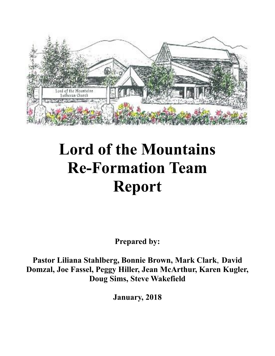

# **Lord of the Mountains Re-Formation Team Report**

**Prepared by:**

**Pastor Liliana Stahlberg, Bonnie Brown, Mark Clark**, **David Domzal, Joe Fassel, Peggy Hiller, Jean McArthur, Karen Kugler, Doug Sims, Steve Wakefield**

**January, 2018**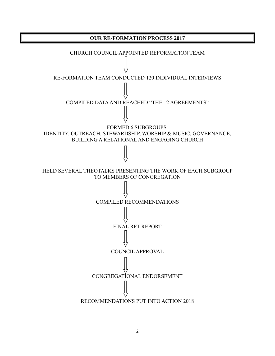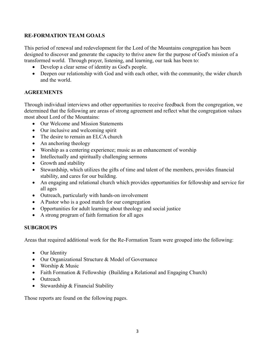## **RE-FORMATION TEAM GOALS**

This period of renewal and redevelopment for the Lord of the Mountains congregation has been designed to discover and generate the capacity to thrive anew for the purpose of God's mission of a transformed world. Through prayer, listening, and learning, our task has been to:

- Develop a clear sense of identity as God's people.
- Deepen our relationship with God and with each other, with the community, the wider church and the world.

## **AGREEMENTS**

Through individual interviews and other opportunities to receive feedback from the congregation, we determined that the following are areas of strong agreement and reflect what the congregation values most about Lord of the Mountains:

- Our Welcome and Mission Statements
- Our inclusive and welcoming spirit
- The desire to remain an ELCA church
- An anchoring theology
- Worship as a centering experience; music as an enhancement of worship
- Intellectually and spiritually challenging sermons
- Growth and stability
- Stewardship, which utilizes the gifts of time and talent of the members, provides financial stability, and cares for our building.
- An engaging and relational church which provides opportunities for fellowship and service for all ages
- Outreach, particularly with hands-on involvement
- A Pastor who is a good match for our congregation
- Opportunities for adult learning about theology and social justice
- A strong program of faith formation for all ages

## **SUBGROUPS**

Areas that required additional work for the Re-Formation Team were grouped into the following:

- Our Identity
- Our Organizational Structure & Model of Governance
- Worship & Music
- Faith Formation & Fellowship (Building a Relational and Engaging Church)
- Outreach
- Stewardship & Financial Stability

Those reports are found on the following pages.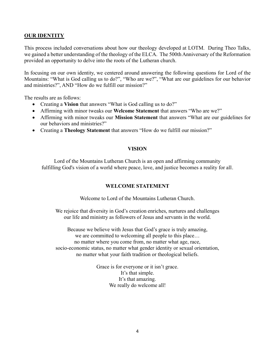## **OUR IDENTITY**

This process included conversations about how our theology developed at LOTM. During Theo Talks, we gained a better understanding of the theology of the ELCA. The 500th Anniversary of the Reformation provided an opportunity to delve into the roots of the Lutheran church.

In focusing on our own identity, we centered around answering the following questions for Lord of the Mountains: "What is God calling us to do?", "Who are we?", "What are our guidelines for our behavior and ministries?", AND "How do we fulfill our mission?"

The results are as follows:

- Creating a **Vision** that answers "What is God calling us to do?"
- Affirming with minor tweaks our **Welcome Statement** that answers "Who are we?"
- Affirming with minor tweaks our **Mission Statement** that answers "What are our guidelines for our behaviors and ministries?"
- Creating a **Theology Statement** that answers "How do we fulfill our mission?"

#### **VISION**

Lord of the Mountains Lutheran Church is an open and affirming community fulfilling God's vision of a world where peace, love, and justice becomes a reality for all.

#### **WELCOME STATEMENT**

Welcome to Lord of the Mountains Lutheran Church.

We rejoice that diversity in God's creation enriches, nurtures and challenges our life and ministry as followers of Jesus and servants in the world.

Because we believe with Jesus that God's grace is truly amazing, we are committed to welcoming all people to this place… no matter where you come from, no matter what age, race, socio-economic status, no matter what gender identity or sexual orientation, no matter what your faith tradition or theological beliefs.

> Grace is for everyone or it isn't grace. It's that simple. It's that amazing. We really do welcome all!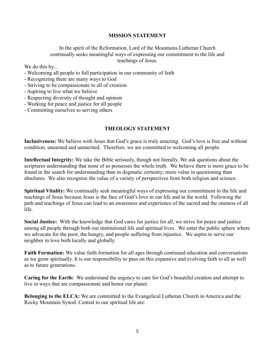### **MISSION STATEMENT**

In the spirit of the Reformation, Lord of the Mountains Lutheran Church continually seeks meaningful ways of expressing our commitment to the life and teachings of Jesus.

We do this by...

- Welcoming all people to full participation in our community of faith
- Recognizing there are many ways to God
- Striving to be compassionate to all of creation
- Aspiring to live what we believe
- Respecting diversity of thought and opinion
- Working for peace and justice for all people
- Committing ourselves to serving others

#### **THEOLOGY STATEMENT**

**Inclusiveness:** We believe with Jesus that God's grace is truly amazing. God's love is free and without condition, unearned and unmerited. Therefore, we are committed to welcoming all people.

**Intellectual Integrity:** We take the Bible seriously, though not literally. We ask questions about the scriptures understanding that none of us possesses the whole truth. We believe there is more grace to be found in the search for understanding than in dogmatic certainty; more value in questioning than absolutes. We also recognize the value of a variety of perspectives from both religion and science.

**Spiritual Vitality:** We continually seek meaningful ways of expressing our commitment to the life and teachings of Jesus because Jesus is the face of God's love in our life and in the world. Following the path and teachings of Jesus can lead to an awareness and experience of the sacred and the oneness of all life.

**Social Justice:** With the knowledge that God cares for justice for all, we strive for peace and justice among all people through both our institutional life and spiritual lives. We enter the public sphere where we advocate for the poor, the hungry, and people suffering from injustice. We aspire to serve our neighbor in love both locally and globally.

**Faith Formation:** We value faith formation for all ages through continued education and conversations as we grow spiritually. It is our responsibility to pass on this expansive and evolving faith to all as well as to future generations.

**Caring for the Earth:** We understand the urgency to care for God's beautiful creation and attempt to live in ways that are compassionate and honor our planet.

**Belonging to the ELCA:** We are committed to the Evangelical Lutheran Church in America and the Rocky Mountain Synod. Central to our spiritual life are: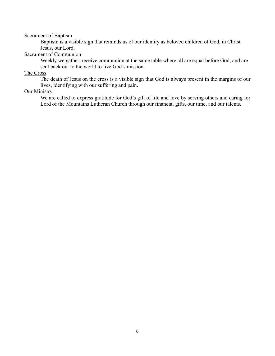#### Sacrament of Baptism

Baptism is a visible sign that reminds us of our identity as beloved children of God, in Christ Jesus, our Lord.

#### Sacrament of Communion

Weekly we gather, receive communion at the same table where all are equal before God, and are sent back out to the world to live God's mission.

#### The Cross

The death of Jesus on the cross is a visible sign that God is always present in the margins of our lives, identifying with our suffering and pain.

#### Our Ministry

We are called to express gratitude for God's gift of life and love by serving others and caring for Lord of the Mountains Lutheran Church through our financial gifts, our time, and our talents.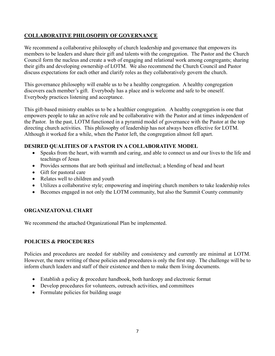# **COLLABORATIVE PHILOSOPHY OF GOVERNANCE**

We recommend a collaborative philosophy of church leadership and governance that empowers its members to be leaders and share their gift and talents with the congregation. The Pastor and the Church Council form the nucleus and create a web of engaging and relational work among congregants; sharing their gifts and developing ownership of LOTM. We also recommend the Church Council and Pastor discuss expectations for each other and clarify roles as they collaboratively govern the church.

This governance philosophy will enable us to be a healthy congregation. A healthy congregation discovers each member's gift. Everybody has a place and is welcome and safe to be oneself. Everybody practices listening and acceptance.

This gift-based ministry enables us to be a healthier congregation. A healthy congregation is one that empowers people to take an active role and be collaborative with the Pastor and at times independent of the Pastor. In the past, LOTM functioned in a pyramid model of governance with the Pastor at the top directing church activities. This philosophy of leadership has not always been effective for LOTM. Although it worked for a while, when the Pastor left, the congregation almost fell apart.

## **DESIRED QUALITIES OF A PASTOR IN A COLLABORATIVE MODEL**

- Speaks from the heart, with warmth and caring, and able to connect us and our lives to the life and teachings of Jesus
- Provides sermons that are both spiritual and intellectual; a blending of head and heart
- Gift for pastoral care
- Relates well to children and youth
- Utilizes a collaborative style; empowering and inspiring church members to take leadership roles
- Becomes engaged in not only the LOTM community, but also the Summit County community

## **ORGANIZATONAL CHART**

We recommend the attached Organizational Plan be implemented.

## **POLICIES & PROCEDURES**

Policies and procedures are needed for stability and consistency and currently are minimal at LOTM. However, the mere writing of these policies and procedures is only the first step. The challenge will be to inform church leaders and staff of their existence and then to make them living documents.

- Establish a policy & procedure handbook, both hardcopy and electronic format
- Develop procedures for volunteers, outreach activities, and committees
- Formulate policies for building usage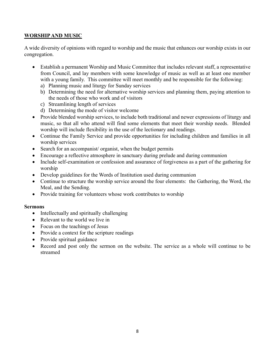# **WORSHIP AND MUSIC**

A wide diversity of opinions with regard to worship and the music that enhances our worship exists in our congregation.

- Establish a permanent Worship and Music Committee that includes relevant staff, a representative from Council, and lay members with some knowledge of music as well as at least one member with a young family. This committee will meet monthly and be responsible for the following:
	- a) Planning music and liturgy for Sunday services
	- b) Determining the need for alternative worship services and planning them, paying attention to the needs of those who work and of visitors
	- c) Streamlining length of services
	- d) Determining the mode of visitor welcome
- Provide blended worship services, to include both traditional and newer expressions of liturgy and music, so that all who attend will find some elements that meet their worship needs. Blended worship will include flexibility in the use of the lectionary and readings.
- Continue the Family Service and provide opportunities for including children and families in all worship services
- Search for an accompanist/ organist, when the budget permits
- Encourage a reflective atmosphere in sanctuary during prelude and during communion
- Include self-examination or confession and assurance of forgiveness as a part of the gathering for worship
- Develop guidelines for the Words of Institution used during communion
- Continue to structure the worship service around the four elements: the Gathering, the Word, the Meal, and the Sending.
- Provide training for volunteers whose work contributes to worship

## **Sermons**

- Intellectually and spiritually challenging
- Relevant to the world we live in
- Focus on the teachings of Jesus
- Provide a context for the scripture readings
- Provide spiritual guidance
- Record and post only the sermon on the website. The service as a whole will continue to be streamed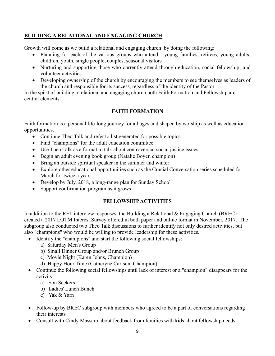# **BUILDING A RELATIONAL AND ENGAGING CHURCH**

Growth will come as we build a relational and engaging church by doing the following:

- Planning for each of the various groups who attend: young families, retirees, young adults, children, youth, single people, couples, seasonal visitors
- Nurturing and supporting those who currently attend through education, social fellowship, and volunteer activities
- Developing ownership of the church by encouraging the members to see themselves as leaders of the church and responsible for its success, regardless of the identity of the Pastor

In the spirit of building a relational and engaging church both Faith Formation and Fellowship are central elements.

# **FAITH FORMATION**

Faith formation is a personal life-long journey for all ages and shaped by worship as well as education opportunities.

- Continue Theo Talk and refer to list generated for possible topics
- Find "champions" for the adult education committee
- Use Theo Talk as a format to talk about controversial social justice issues
- Begin an adult evening book group (Natalie Boyer, champion)
- Bring an outside spiritual speaker in the summer and winter
- Explore other educational opportunities such as the Crucial Conversation series scheduled for March for twice a year
- Develop by July, 2018, a long-range plan for Sunday School
- Support confirmation program as it grows

# **FELLOWSHIP ACTIVITIES**

In addition to the RFT interview responses, the Building a Relational  $&$  Engaging Church (BREC) created a 2017 LOTM Interest Survey offered in both paper and online format in November, 2017. The subgroup also conducted two Theo Talk discussions to further identify not only desired activities, but also "champions" who would be willing to provide leadership for these activities.

- Identify the "champions" and start the following social fellowships:
	- a) Saturday Men's Group
	- b) Small Dinner Group and/or Brunch Group
	- c) Movie Night (Karen Johns, Champion)
	- d) Happy Hour Time (Catheryne Carlson, Champion)
- Continue the following social fellowships until lack of interest or a "champion" disappears for the activity:
	- a) Son Seekers
	- b) Ladies' Lunch Bunch
	- c) Yak & Yarn
- Follow-up by BREC subgroup with members who agreed to be a part of conversations regarding their interests
- Consult with Cindy Massaro about feedback from families with kids about fellowship needs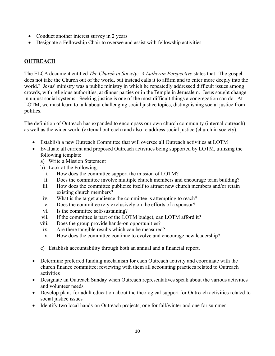- Conduct another interest survey in 2 years
- Designate a Fellowship Chair to oversee and assist with fellowship activities

# **OUTREACH**

The ELCA document entitled *The Church in Society: A Lutheran Perspective* states that "The gospel does not take the Church out of the world, but instead calls it to affirm and to enter more deeply into the world." Jesus' ministry was a public ministry in which he repeatedly addressed difficult issues among crowds, with religious authorities, at dinner parties or in the Temple in Jerusalem. Jesus sought change in unjust social systems. Seeking justice is one of the most difficult things a congregation can do. At LOTM, we must learn to talk about challenging social justice topics, distinguishing social justice from politics.

The definition of Outreach has expanded to encompass our own church community (internal outreach) as well as the wider world (external outreach) and also to address social justice (church in society).

- Establish a new Outreach Committee that will oversee all Outreach activities at LOTM
- Evaluate all current and proposed Outreach activities being supported by LOTM, utilizing the following template
	- a) Write a Mission Statement
	- b) Look at the Following:
		- i. How does the committee support the mission of LOTM?
		- ii. Does the committee involve multiple church members and encourage team building?
	- iii. How does the committee publicize itself to attract new church members and/or retain existing church members?
	- iv. What is the target audience the committee is attempting to reach?
	- v. Does the committee rely exclusively on the efforts of a sponsor?
	- vi. Is the committee self-sustaining?
	- vii. If the committee is part of the LOTM budget, can LOTM afford it?
	- viii. Does the group provide hands-on opportunities?
	- ix. Are there tangible results which can be measured?
	- x. How does the committee continue to evolve and encourage new leadership?
	- c) Establish accountability through both an annual and a financial report.
- Determine preferred funding mechanism for each Outreach activity and coordinate with the church finance committee; reviewing with them all accounting practices related to Outreach activities
- Designate an Outreach Sunday when Outreach representatives speak about the various activities and volunteer needs
- Develop plans for adult education about the theological support for Outreach activities related to social justice issues
- Identify two local hands-on Outreach projects; one for fall/winter and one for summer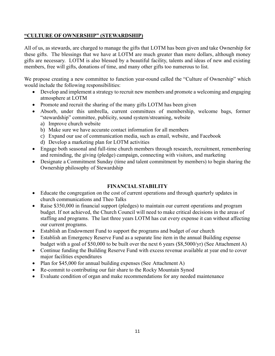## **"CULTURE OF OWNERSHIP" (STEWARDSHIP)**

All of us, as stewards, are charged to manage the gifts that LOTM has been given and take Ownership for these gifts. The blessings that we have at LOTM are much greater than mere dollars, although money gifts are necessary. LOTM is also blessed by a beautiful facility, talents and ideas of new and existing members, free will gifts, donations of time, and many other gifts too numerous to list.

We propose creating a new committee to function year-round called the "Culture of Ownership" which would include the following responsibilities:

- Develop and implement a strategy to recruit new members and promote a welcoming and engaging atmosphere at LOTM
- Promote and recruit the sharing of the many gifts LOTM has been given
- Absorb, under this umbrella, current committees of membership, welcome bags, former "stewardship" committee, publicity, sound system/streaming, website
	- a) Improve church website
	- b) Make sure we have accurate contact information for all members
	- c) Expand our use of communication media, such as email, website, and Facebook
	- d) Develop a marketing plan for LOTM activities
- Engage both seasonal and full-time church members through research, recruitment, remembering and reminding, the giving (pledge) campaign, connecting with visitors, and marketing
- Designate a Commitment Sunday (time and talent commitment by members) to begin sharing the Ownership philosophy of Stewardship

# **FINANCIAL STABILITY**

- Educate the congregation on the cost of current operations and through quarterly updates in church communications and Theo Talks
- Raise \$350,000 in financial support (pledges) to maintain our current operations and program budget. If not achieved, the Church Council will need to make critical decisions in the areas of staffing and programs. The last three years LOTM has cut every expense it can without affecting our current programs.
- Establish an Endowment Fund to support the programs and budget of our church
- Establish an Emergency Reserve Fund as a separate line item in the annual Building expense budget with a goal of \$50,000 to be built over the next 6 years (\$8,5000/yr) (See Attachment A)
- Continue funding the Building Reserve Fund with excess revenue available at year end to cover major facilities expenditures
- Plan for \$45,000 for annual building expenses (See Attachment A)
- Re-commit to contributing our fair share to the Rocky Mountain Synod
- Evaluate condition of organ and make recommendations for any needed maintenance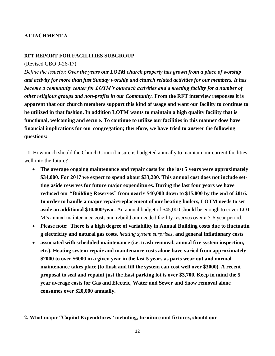## **ATTACHMENT A**

#### **RFT REPORT FOR FACILITIES SUBGROUP**

(Revised GBO 9-26-17)

*Define the Issue(s): Over the years our LOTM church property has grown from a place of worship and activity for more than just Sunday worship and church related activities for our members. It has become a community center for LOTM's outreach activities and a meeting facility for a number of other religious groups and non-profits in our Community.* **From the RFT interview responses it is apparent that our church members support this kind of usage and want our facility to continue to be utilized in that fashion. In addition LOTM wants to maintain a high quality facility that is functional, welcoming and secure. To continue to utilize our facilities in this manner does have financial implications for our congregation; therefore, we have tried to answer the following questions:**

**1**. How much should the Church Council insure is budgeted annually to maintain our current facilities well into the future?

- **The average ongoing maintenance and repair costs for the last 5 years were approximately \$34,000. For 2017 we expect to spend about \$33,200. This annual cost does not include setting aside reserves for future major expenditures. During the last four years we have reduced our "Building Reserves" from nearly \$40,000 down to \$15,000 by the end of 2016. In order to handle a major repair/replacement of our heating boilers, LOTM needs to set aside an additional \$10,000/year.** An annual budget of \$45,000 should be enough to cover LOT M's annual maintenance costs and rebuild our needed facility reserves over a 5-6 year period.
- **Please note: There is a high degree of variability in Annual Building costs due to fluctuatin g electricity and natural gas costs,** *heating system surprises,* **and general inflationary costs**
- **associated with scheduled maintenance (i.e. trash removal, annual fire system inspection, etc.). Heating system repair and maintenance costs alone have varied from approximately \$2000 to over \$6000 in a given year in the last 5 years as parts wear out and normal maintenance takes place (to flush and fill the system can cost well over \$3000). A recent proposal to seal and repaint just the East parking lot is over \$3,700. Keep in mind the 5 year average costs for Gas and Electric, Water and Sewer and Snow removal alone consumes over \$20,000 annually.**
- **2. What major "Capital Expenditures" including, furniture and fixtures, should our**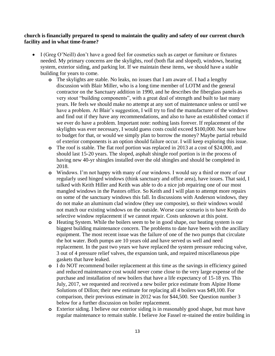#### **church is financially prepared to spend to maintain the quality and safety of our current church facility and in what time-frame?**

- I (Greg O'Neill) don't have a good feel for cosmetics such as carpet or furniture or fixtures needed. My primary concerns are the skylights, roof (both flat and sloped), windows, heating system, exterior siding, and parking lot. If we maintain these items, we should have a stable building for years to come.
	- **o** The skylights are stable. No leaks, no issues that I am aware of. I had a lengthy discussion with Blair Miller, who is a long time member of LOTM and the general contractor on the Sanctuary addition in 1990, and he describes the fiberglass panels as very stout "building components", with a great deal of strength and built to last many years. He feels we should make no attempt at any sort of maintenance unless or until we have a problem. At Blair's suggestion, I will try to find the manufacturer of the windows and find out if they have any recommendations, and also to have an established contact if we ever do have a problem. Important note: nothing lasts forever. If replacement of the skylights was ever necessary, I would guess costs could exceed \$100,000. Not sure how to budget for that, or would we simply plan to borrow the money? Maybe partial rebuild of exterior components is an option should failure occur. I will keep exploring this issue.
	- **o** The roof is stable. The flat roof portion was replaced in 2013 at a cost of \$24,000, and should last 15-20 years. The sloped, asphalt shingle roof portion is in the process of having new 40-yr shingles installed over the old shingles and should be completed in 2018.
	- **o** Windows. I'm not happy with many of our windows. I would say a third or more of our regularly used hinged windows (think sanctuary and office area), have issues. That said, I talked with Keith Hiller and Keith was able to do a nice job repairing one of our most mangled windows in the Pastors office. So Keith and I will plan to attempt more repairs on some of the sanctuary windows this fall. In discussions with Anderson windows, they do not make an aluminum clad window (they use composite), so their windows would not match our existing windows on the outside. Worse case scenario is to have Keith do selective window replacement if we cannot repair. Costs unknown at this point.
	- **o** Heating System. While the boilers seem to be in good shape, our heating system is our biggest building maintenance concern. The problems to date have been with the ancillary equipment. The most recent issue was the failure of one of the two pumps that circulate the hot water. Both pumps are 10 years old and have served us well and need replacement. In the past two years we have replaced the system pressure reducing valve, 3 out of 4 pressure relief valves, the expansion tank, and repaired miscellaneous pipe gaskets that have leaked.
	- **o** I do NOT recommend boiler replacement at this time as the savings in efficiency gained and reduced maintenance cost would never come close to the very large expense of the purchase and installation of new boilers that have a life expectancy of 15-18 yrs. This July, 2017, we requested and received a new boiler price estimate from Alpine Home Solutions of Dillon; their new estimate for replacing all 4 boilers was \$49,100. For comparison, their previous estimate in 2012 was for \$44,500. See Question number 3 below for a further discussion on boiler replacement.
	- **o** Exterior siding. I believe our exterior siding is in reasonably good shape, but must have regular maintenance to remain stable. I believe Joe Fassel re-stained the entire building in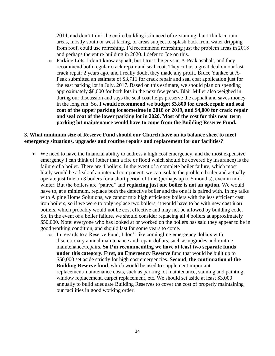2014, and don't think the entire building is in need of re-staining, but I think certain areas, mostly south or west facing, or areas subject to splash back from water dripping from roof, could use refreshing. I'd recommend refreshing just the problem areas in 2018 and perhaps the entire building in 2020. I defer to Joe on this.

**o** Parking Lots. I don't know asphalt, but I trust the guys at A-Peak asphalt, and they recommend both regular crack repair and seal coat. They cut us a great deal on our last crack repair 2 years ago, and I really doubt they made any profit. Bruce Yankee at A-Peak submitted an estimate of \$3,711 for crack repair and seal coat application just for the east parking lot in July, 2017. Based on this estimate, we should plan on spending approximately \$8,000 for both lots in the next few years. Blair Miller also weighed in during our discussion and says the seal coat helps preserve the asphalt and saves money in the long run. So, **I would recommend we budget \$3,800 for crack repair and seal coat of the upper parking lot sometime in 2018 or 2019, and \$4,000 for crack repair and seal coat of the lower parking lot in 2020. Most of the cost for this near term parking lot maintenance would have to come from the Building Reserve Fund.**

### **3. What minimum size of Reserve Fund should our Church have on its balance sheet to meet emergency situations, upgrades and routine repairs and replacement for our facilities?**

- We need to have the financial ability to address a high cost emergency, and the most expensive emergency I can think of (other than a fire or flood which should be covered by insurance) is the failure of a boiler. There are 4 boilers. In the event of a complete boiler failure, which most likely would be a leak of an internal component, we can isolate the problem boiler and actually operate just fine on 3 boilers for a short period of time (perhaps up to 5 months), even in midwinter. But the boilers are "paired" and **replacing just one boiler is not an option.** We would have to, at a minimum, replace both the defective boiler and the one it is paired with. In my talks with Alpine Home Solutions, we cannot mix high efficiency boilers with the less efficient cast iron boilers, so if we were to only replace two boilers, it would have to be with new **cast iron** boilers, which probably would not be cost effective and may not be allowed by building code. So, in the event of a boiler failure, we should consider replacing all 4 boilers at approximately \$50,000. Note: everyone who has looked at or worked on the boilers has said they appear to be in good working condition, and should last for some years to come.
	- **o** In regards to a Reserve Fund, I don't like comingling emergency dollars with discretionary annual maintenance and repair dollars, such as upgrades and routine maintenance/repairs. **So I'm recommending we have at least two separate funds under this category. First, an Emergency Reserve** fund that would be built up to \$50,000 set aside strictly for high cost emergencies. **Second**, **the continuation of the Building Reserve fund**, which would be used to supplement important replacement/maintenance costs, such as parking lot maintenance, staining and painting, window replacement, carpet replacement, etc. We should set aside at least \$3,000 annually to build adequate Building Reserves to cover the cost of properly maintaining our facilities in good working order.